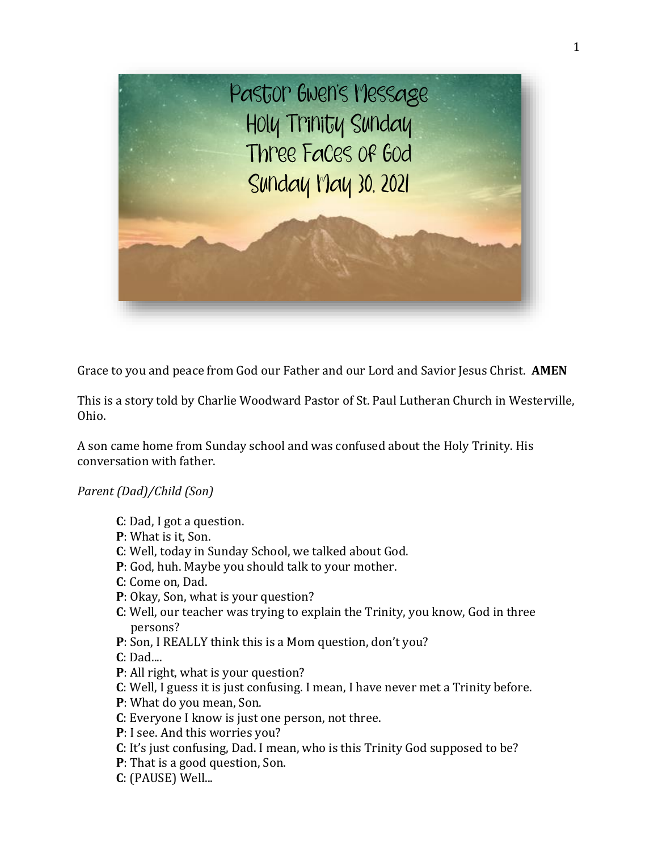

Grace to you and peace from God our Father and our Lord and Savior Jesus Christ. **AMEN**

This is a story told by Charlie Woodward Pastor of St. Paul Lutheran Church in Westerville, Ohio.

A son came home from Sunday school and was confused about the Holy Trinity. His conversation with father.

## *Parent (Dad)/Child (Son)*

- **C**: Dad, I got a question.
- **P**: What is it, Son.
- **C**: Well, today in Sunday School, we talked about God.
- **P**: God, huh. Maybe you should talk to your mother.
- **C**: Come on, Dad.
- **P**: Okay, Son, what is your question?
- **C**: Well, our teacher was trying to explain the Trinity, you know, God in three persons?
- **P**: Son, I REALLY think this is a Mom question, don't you?

**C**: Dad....

- **P**: All right, what is your question?
- **C**: Well, I guess it is just confusing. I mean, I have never met a Trinity before.
- **P**: What do you mean, Son.
- **C**: Everyone I know is just one person, not three.
- **P**: I see. And this worries you?
- **C**: It's just confusing, Dad. I mean, who is this Trinity God supposed to be?
- **P**: That is a good question, Son.
- **C**: (PAUSE) Well...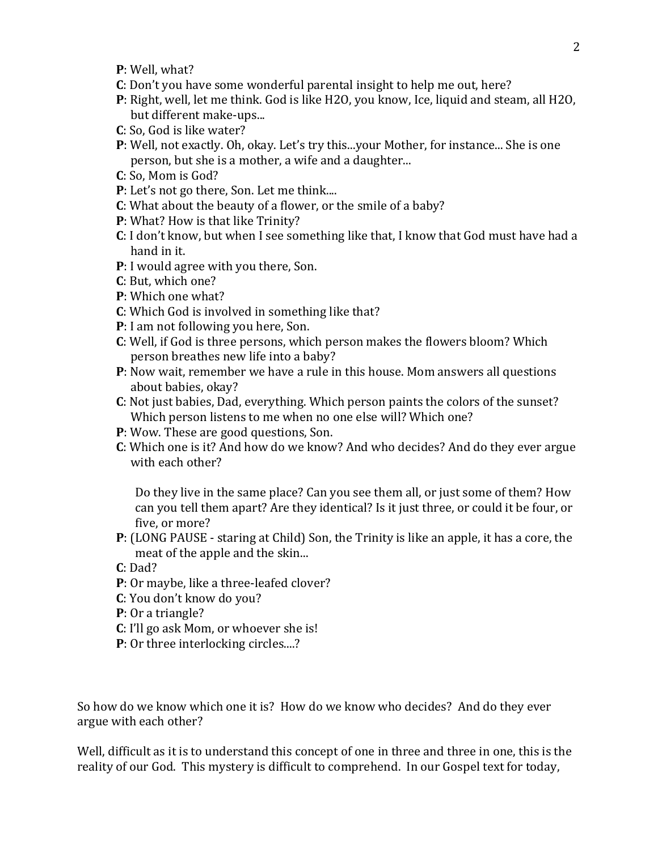- **P**: Well, what?
- **C**: Don't you have some wonderful parental insight to help me out, here?
- **P**: Right, well, let me think. God is like H2O, you know, Ice, liquid and steam, all H2O, but different make-ups...
- **C**: So, God is like water?
- **P**: Well, not exactly. Oh, okay. Let's try this...your Mother, for instance... She is one person, but she is a mother, a wife and a daughter...
- **C**: So, Mom is God?
- **P**: Let's not go there, Son. Let me think....
- **C**: What about the beauty of a flower, or the smile of a baby?
- **P**: What? How is that like Trinity?
- **C**: I don't know, but when I see something like that, I know that God must have had a hand in it.
- **P**: I would agree with you there, Son.
- **C**: But, which one?
- **P**: Which one what?
- **C**: Which God is involved in something like that?
- **P**: I am not following you here, Son.
- **C**: Well, if God is three persons, which person makes the flowers bloom? Which person breathes new life into a baby?
- **P**: Now wait, remember we have a rule in this house. Mom answers all questions about babies, okay?
- **C**: Not just babies, Dad, everything. Which person paints the colors of the sunset? Which person listens to me when no one else will? Which one?
- **P**: Wow. These are good questions, Son.
- **C**: Which one is it? And how do we know? And who decides? And do they ever argue with each other?

Do they live in the same place? Can you see them all, or just some of them? How can you tell them apart? Are they identical? Is it just three, or could it be four, or five, or more?

- **P**: (LONG PAUSE staring at Child) Son, the Trinity is like an apple, it has a core, the meat of the apple and the skin...
- **C**: Dad?
- **P**: Or maybe, like a three-leafed clover?
- **C**: You don't know do you?
- **P**: Or a triangle?
- **C**: I'll go ask Mom, or whoever she is!
- **P**: Or three interlocking circles....?

So how do we know which one it is? How do we know who decides? And do they ever argue with each other?

Well, difficult as it is to understand this concept of one in three and three in one, this is the reality of our God. This mystery is difficult to comprehend. In our Gospel text for today,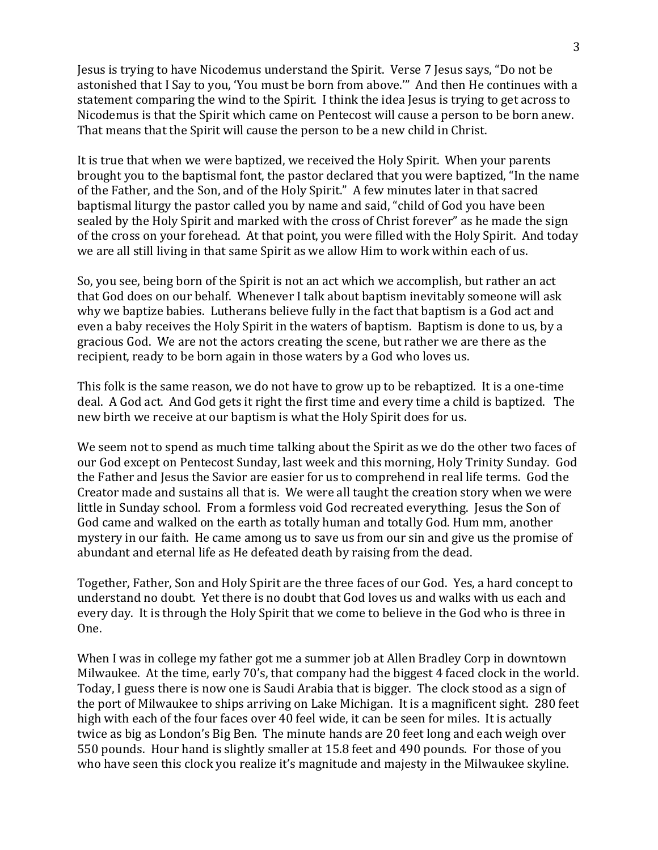Jesus is trying to have Nicodemus understand the Spirit. Verse 7 Jesus says, "Do not be astonished that I Say to you, 'You must be born from above.'" And then He continues with a statement comparing the wind to the Spirit. I think the idea Jesus is trying to get across to Nicodemus is that the Spirit which came on Pentecost will cause a person to be born anew. That means that the Spirit will cause the person to be a new child in Christ.

It is true that when we were baptized, we received the Holy Spirit. When your parents brought you to the baptismal font, the pastor declared that you were baptized, "In the name of the Father, and the Son, and of the Holy Spirit." A few minutes later in that sacred baptismal liturgy the pastor called you by name and said, "child of God you have been sealed by the Holy Spirit and marked with the cross of Christ forever" as he made the sign of the cross on your forehead. At that point, you were filled with the Holy Spirit. And today we are all still living in that same Spirit as we allow Him to work within each of us.

So, you see, being born of the Spirit is not an act which we accomplish, but rather an act that God does on our behalf. Whenever I talk about baptism inevitably someone will ask why we baptize babies. Lutherans believe fully in the fact that baptism is a God act and even a baby receives the Holy Spirit in the waters of baptism. Baptism is done to us, by a gracious God. We are not the actors creating the scene, but rather we are there as the recipient, ready to be born again in those waters by a God who loves us.

This folk is the same reason, we do not have to grow up to be rebaptized. It is a one-time deal. A God act. And God gets it right the first time and every time a child is baptized. The new birth we receive at our baptism is what the Holy Spirit does for us.

We seem not to spend as much time talking about the Spirit as we do the other two faces of our God except on Pentecost Sunday, last week and this morning, Holy Trinity Sunday. God the Father and Jesus the Savior are easier for us to comprehend in real life terms. God the Creator made and sustains all that is. We were all taught the creation story when we were little in Sunday school. From a formless void God recreated everything. Jesus the Son of God came and walked on the earth as totally human and totally God. Hum mm, another mystery in our faith. He came among us to save us from our sin and give us the promise of abundant and eternal life as He defeated death by raising from the dead.

Together, Father, Son and Holy Spirit are the three faces of our God. Yes, a hard concept to understand no doubt. Yet there is no doubt that God loves us and walks with us each and every day. It is through the Holy Spirit that we come to believe in the God who is three in One.

When I was in college my father got me a summer job at Allen Bradley Corp in downtown Milwaukee. At the time, early 70's, that company had the biggest 4 faced clock in the world. Today, I guess there is now one is Saudi Arabia that is bigger. The clock stood as a sign of the port of Milwaukee to ships arriving on Lake Michigan. It is a magnificent sight. 280 feet high with each of the four faces over 40 feel wide, it can be seen for miles. It is actually twice as big as London's Big Ben. The minute hands are 20 feet long and each weigh over 550 pounds. Hour hand is slightly smaller at 15.8 feet and 490 pounds. For those of you who have seen this clock you realize it's magnitude and majesty in the Milwaukee skyline.